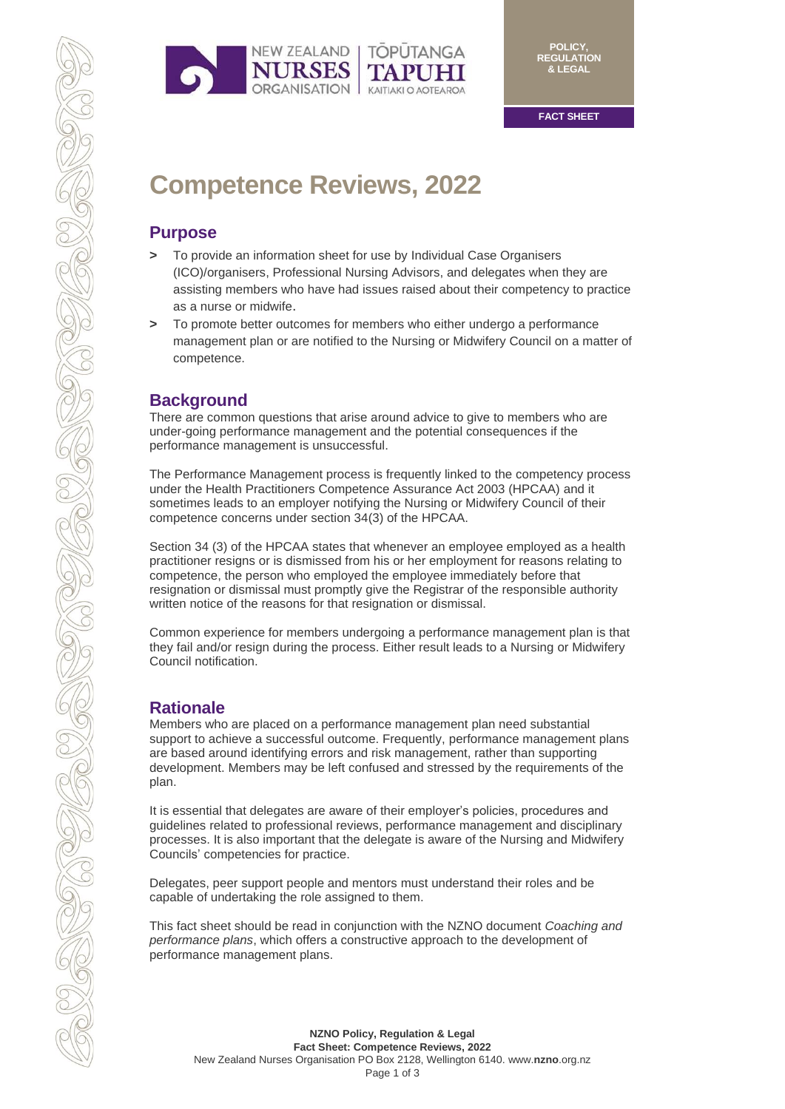

# **Competence Reviews, 2022**

#### **Purpose**

- **>** To provide an information sheet for use by Individual Case Organisers (ICO)/organisers, Professional Nursing Advisors, and delegates when they are assisting members who have had issues raised about their competency to practice as a nurse or midwife.
- **>** To promote better outcomes for members who either undergo a performance management plan or are notified to the Nursing or Midwifery Council on a matter of competence.

## **Background**

There are common questions that arise around advice to give to members who are under-going performance management and the potential consequences if the performance management is unsuccessful.

The Performance Management process is frequently linked to the competency process under the Health Practitioners Competence Assurance Act 2003 (HPCAA) and it sometimes leads to an employer notifying the Nursing or Midwifery Council of their competence concerns under section 34(3) of the HPCAA.

Section 34 (3) of the HPCAA states that whenever an employee employed as a health practitioner resigns or is dismissed from his or her employment for reasons relating to competence, the person who employed the employee immediately before that resignation or dismissal must promptly give the Registrar of the responsible authority written notice of the reasons for that resignation or dismissal.

Common experience for members undergoing a performance management plan is that they fail and/or resign during the process. Either result leads to a Nursing or Midwifery Council notification.

# **Rationale**

CONTROL

Members who are placed on a performance management plan need substantial support to achieve a successful outcome. Frequently, performance management plans are based around identifying errors and risk management, rather than supporting development. Members may be left confused and stressed by the requirements of the plan.

It is essential that delegates are aware of their employer's policies, procedures and guidelines related to professional reviews, performance management and disciplinary processes. It is also important that the delegate is aware of the Nursing and Midwifery Councils' competencies for practice.

Delegates, peer support people and mentors must understand their roles and be capable of undertaking the role assigned to them.

This fact sheet should be read in conjunction with the NZNO document *Coaching and performance plans*, which offers a constructive approach to the development of performance management plans.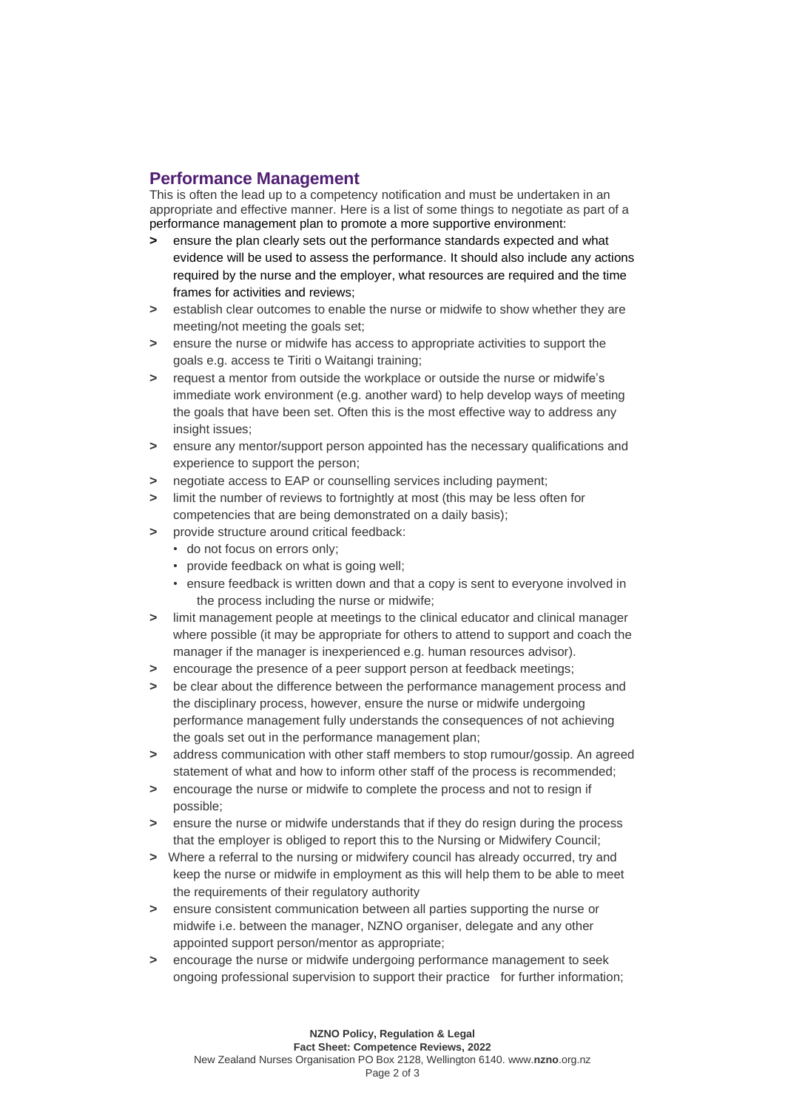### **Performance Management**

This is often the lead up to a competency notification and must be undertaken in an appropriate and effective manner. Here is a list of some things to negotiate as part of a performance management plan to promote a more supportive environment:

- **>** ensure the plan clearly sets out the performance standards expected and what evidence will be used to assess the performance. It should also include any actions required by the nurse and the employer, what resources are required and the time frames for activities and reviews;
- **>** establish clear outcomes to enable the nurse or midwife to show whether they are meeting/not meeting the goals set;
- **>** ensure the nurse or midwife has access to appropriate activities to support the goals e.g. access te Tiriti o Waitangi training;
- **>** request a mentor from outside the workplace or outside the nurse or midwife's immediate work environment (e.g. another ward) to help develop ways of meeting the goals that have been set. Often this is the most effective way to address any insight issues:
- **>** ensure any mentor/support person appointed has the necessary qualifications and experience to support the person;
- **>** negotiate access to EAP or counselling services including payment;
- **>** limit the number of reviews to fortnightly at most (this may be less often for competencies that are being demonstrated on a daily basis);
- **>** provide structure around critical feedback:
	- do not focus on errors only;
	- provide feedback on what is going well;
	- ensure feedback is written down and that a copy is sent to everyone involved in the process including the nurse or midwife;
- **>** limit management people at meetings to the clinical educator and clinical manager where possible (it may be appropriate for others to attend to support and coach the manager if the manager is inexperienced e.g. human resources advisor).
- **>** encourage the presence of a peer support person at feedback meetings;
- **>** be clear about the difference between the performance management process and the disciplinary process, however, ensure the nurse or midwife undergoing performance management fully understands the consequences of not achieving the goals set out in the performance management plan;
- **>** address communication with other staff members to stop rumour/gossip. An agreed statement of what and how to inform other staff of the process is recommended;
- **>** encourage the nurse or midwife to complete the process and not to resign if possible;
- **>** ensure the nurse or midwife understands that if they do resign during the process that the employer is obliged to report this to the Nursing or Midwifery Council;
- **>** Where a referral to the nursing or midwifery council has already occurred, try and keep the nurse or midwife in employment as this will help them to be able to meet the requirements of their regulatory authority
- **>** ensure consistent communication between all parties supporting the nurse or midwife i.e. between the manager, NZNO organiser, delegate and any other appointed support person/mentor as appropriate;
- **>** encourage the nurse or midwife undergoing performance management to seek ongoing professional supervision to support their practice for further information;